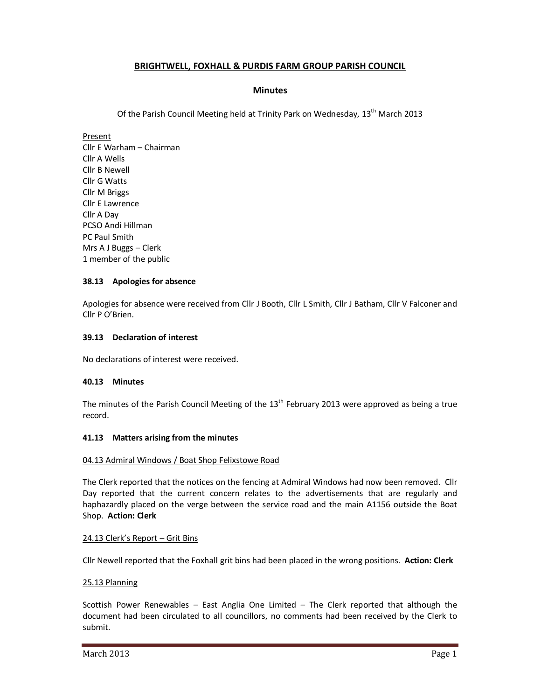# **BRIGHTWELL, FOXHALL & PURDIS FARM GROUP PARISH COUNCIL**

# **Minutes**

Of the Parish Council Meeting held at Trinity Park on Wednesday, 13<sup>th</sup> March 2013

Present Cllr E Warham – Chairman Cllr A Wells Cllr B Newell Cllr G Watts Cllr M Briggs Cllr E Lawrence Cllr A Day PCSO Andi Hillman PC Paul Smith Mrs A J Buggs – Clerk 1 member of the public

# **38.13 Apologies for absence**

Apologies for absence were received from Cllr J Booth, Cllr L Smith, Cllr J Batham, Cllr V Falconer and Cllr P O'Brien.

### **39.13 Declaration of interest**

No declarations of interest were received.

# **40.13 Minutes**

The minutes of the Parish Council Meeting of the  $13<sup>th</sup>$  February 2013 were approved as being a true record.

### **41.13 Matters arising from the minutes**

### 04.13 Admiral Windows / Boat Shop Felixstowe Road

The Clerk reported that the notices on the fencing at Admiral Windows had now been removed. Cllr Day reported that the current concern relates to the advertisements that are regularly and haphazardly placed on the verge between the service road and the main A1156 outside the Boat Shop. **Action: Clerk** 

### 24.13 Clerk's Report – Grit Bins

Cllr Newell reported that the Foxhall grit bins had been placed in the wrong positions. **Action: Clerk**

### 25.13 Planning

Scottish Power Renewables – East Anglia One Limited – The Clerk reported that although the document had been circulated to all councillors, no comments had been received by the Clerk to submit.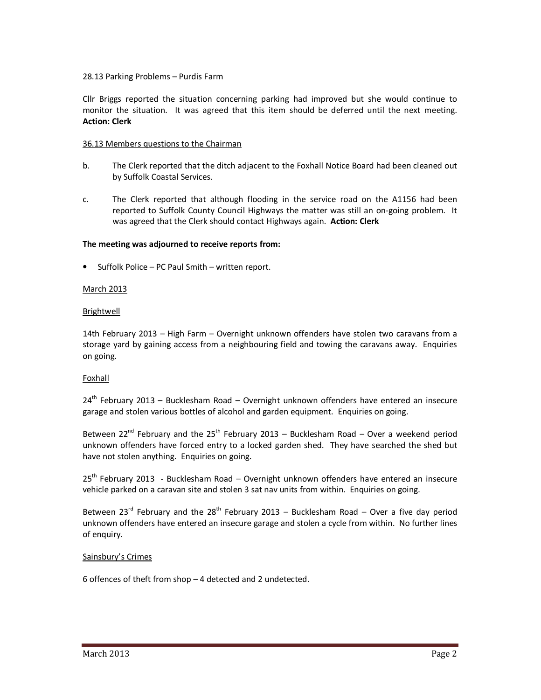### 28.13 Parking Problems – Purdis Farm

Cllr Briggs reported the situation concerning parking had improved but she would continue to monitor the situation. It was agreed that this item should be deferred until the next meeting. **Action: Clerk**

### 36.13 Members questions to the Chairman

- b. The Clerk reported that the ditch adjacent to the Foxhall Notice Board had been cleaned out by Suffolk Coastal Services.
- c. The Clerk reported that although flooding in the service road on the A1156 had been reported to Suffolk County Council Highways the matter was still an on-going problem. It was agreed that the Clerk should contact Highways again. **Action: Clerk**

### **The meeting was adjourned to receive reports from:**

• Suffolk Police – PC Paul Smith – written report.

### March 2013

### **Brightwell**

14th February 2013 – High Farm – Overnight unknown offenders have stolen two caravans from a storage yard by gaining access from a neighbouring field and towing the caravans away. Enquiries on going.

### Foxhall

 $24<sup>th</sup>$  February 2013 – Bucklesham Road – Overnight unknown offenders have entered an insecure garage and stolen various bottles of alcohol and garden equipment. Enquiries on going.

Between 22<sup>nd</sup> February and the 25<sup>th</sup> February 2013 – Bucklesham Road – Over a weekend period unknown offenders have forced entry to a locked garden shed. They have searched the shed but have not stolen anything. Enquiries on going.

25<sup>th</sup> February 2013 - Bucklesham Road – Overnight unknown offenders have entered an insecure vehicle parked on a caravan site and stolen 3 sat nav units from within. Enquiries on going.

Between 23<sup>rd</sup> February and the 28<sup>th</sup> February 2013 – Bucklesham Road – Over a five day period unknown offenders have entered an insecure garage and stolen a cycle from within. No further lines of enquiry.

### Sainsbury's Crimes

6 offences of theft from shop – 4 detected and 2 undetected.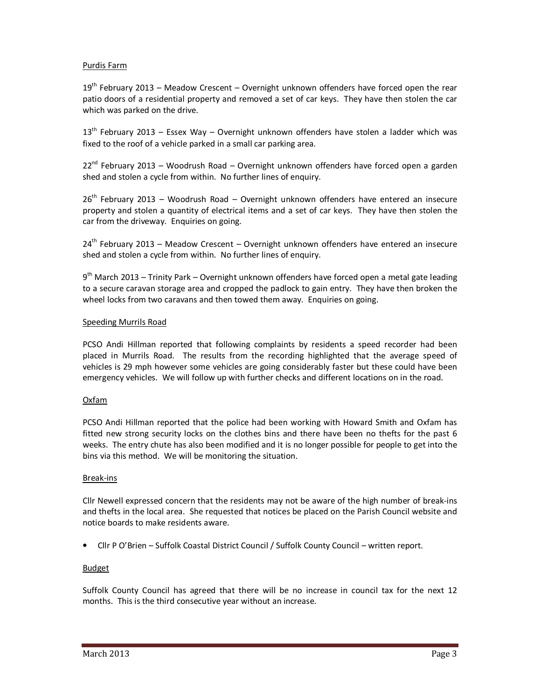# Purdis Farm

 $19<sup>th</sup>$  February 2013 – Meadow Crescent – Overnight unknown offenders have forced open the rear patio doors of a residential property and removed a set of car keys. They have then stolen the car which was parked on the drive.

 $13<sup>th</sup>$  February 2013 – Essex Way – Overnight unknown offenders have stolen a ladder which was fixed to the roof of a vehicle parked in a small car parking area.

 $22^{nd}$  February 2013 – Woodrush Road – Overnight unknown offenders have forced open a garden shed and stolen a cycle from within. No further lines of enquiry.

 $26<sup>th</sup>$  February 2013 – Woodrush Road – Overnight unknown offenders have entered an insecure property and stolen a quantity of electrical items and a set of car keys. They have then stolen the car from the driveway. Enquiries on going.

 $24<sup>th</sup>$  February 2013 – Meadow Crescent – Overnight unknown offenders have entered an insecure shed and stolen a cycle from within. No further lines of enquiry.

9<sup>th</sup> March 2013 – Trinity Park – Overnight unknown offenders have forced open a metal gate leading to a secure caravan storage area and cropped the padlock to gain entry. They have then broken the wheel locks from two caravans and then towed them away. Enquiries on going.

### Speeding Murrils Road

PCSO Andi Hillman reported that following complaints by residents a speed recorder had been placed in Murrils Road. The results from the recording highlighted that the average speed of vehicles is 29 mph however some vehicles are going considerably faster but these could have been emergency vehicles. We will follow up with further checks and different locations on in the road.

### Oxfam

PCSO Andi Hillman reported that the police had been working with Howard Smith and Oxfam has fitted new strong security locks on the clothes bins and there have been no thefts for the past 6 weeks. The entry chute has also been modified and it is no longer possible for people to get into the bins via this method. We will be monitoring the situation.

### Break-ins

Cllr Newell expressed concern that the residents may not be aware of the high number of break-ins and thefts in the local area. She requested that notices be placed on the Parish Council website and notice boards to make residents aware.

• Cllr P O'Brien – Suffolk Coastal District Council / Suffolk County Council – written report.

### Budget

Suffolk County Council has agreed that there will be no increase in council tax for the next 12 months. This is the third consecutive year without an increase.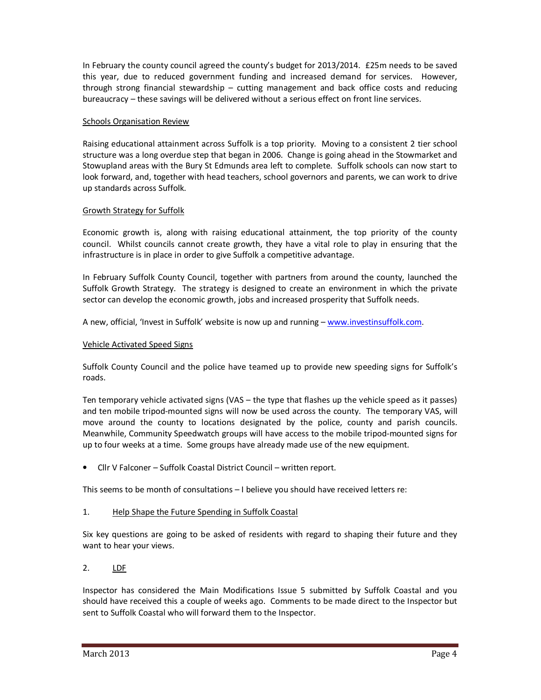In February the county council agreed the county's budget for 2013/2014. £25m needs to be saved this year, due to reduced government funding and increased demand for services. However, through strong financial stewardship – cutting management and back office costs and reducing bureaucracy – these savings will be delivered without a serious effect on front line services.

## **Schools Organisation Review**

Raising educational attainment across Suffolk is a top priority. Moving to a consistent 2 tier school structure was a long overdue step that began in 2006. Change is going ahead in the Stowmarket and Stowupland areas with the Bury St Edmunds area left to complete. Suffolk schools can now start to look forward, and, together with head teachers, school governors and parents, we can work to drive up standards across Suffolk.

### Growth Strategy for Suffolk

Economic growth is, along with raising educational attainment, the top priority of the county council. Whilst councils cannot create growth, they have a vital role to play in ensuring that the infrastructure is in place in order to give Suffolk a competitive advantage.

In February Suffolk County Council, together with partners from around the county, launched the Suffolk Growth Strategy. The strategy is designed to create an environment in which the private sector can develop the economic growth, jobs and increased prosperity that Suffolk needs.

A new, official, 'Invest in Suffolk' website is now up and running – www.investinsuffolk.com.

### Vehicle Activated Speed Signs

Suffolk County Council and the police have teamed up to provide new speeding signs for Suffolk's roads.

Ten temporary vehicle activated signs (VAS – the type that flashes up the vehicle speed as it passes) and ten mobile tripod-mounted signs will now be used across the county. The temporary VAS, will move around the county to locations designated by the police, county and parish councils. Meanwhile, Community Speedwatch groups will have access to the mobile tripod-mounted signs for up to four weeks at a time. Some groups have already made use of the new equipment.

• Cllr V Falconer – Suffolk Coastal District Council – written report.

This seems to be month of consultations – I believe you should have received letters re:

# 1. Help Shape the Future Spending in Suffolk Coastal

Six key questions are going to be asked of residents with regard to shaping their future and they want to hear your views.

# 2. LDF

Inspector has considered the Main Modifications Issue 5 submitted by Suffolk Coastal and you should have received this a couple of weeks ago. Comments to be made direct to the Inspector but sent to Suffolk Coastal who will forward them to the Inspector.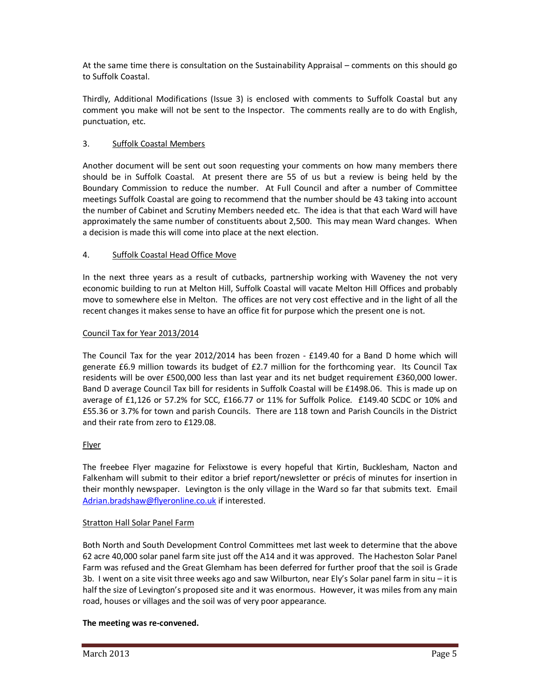At the same time there is consultation on the Sustainability Appraisal – comments on this should go to Suffolk Coastal.

Thirdly, Additional Modifications (Issue 3) is enclosed with comments to Suffolk Coastal but any comment you make will not be sent to the Inspector. The comments really are to do with English, punctuation, etc.

# 3. Suffolk Coastal Members

Another document will be sent out soon requesting your comments on how many members there should be in Suffolk Coastal. At present there are 55 of us but a review is being held by the Boundary Commission to reduce the number. At Full Council and after a number of Committee meetings Suffolk Coastal are going to recommend that the number should be 43 taking into account the number of Cabinet and Scrutiny Members needed etc. The idea is that that each Ward will have approximately the same number of constituents about 2,500. This may mean Ward changes. When a decision is made this will come into place at the next election.

# 4. Suffolk Coastal Head Office Move

In the next three years as a result of cutbacks, partnership working with Waveney the not very economic building to run at Melton Hill, Suffolk Coastal will vacate Melton Hill Offices and probably move to somewhere else in Melton. The offices are not very cost effective and in the light of all the recent changes it makes sense to have an office fit for purpose which the present one is not.

# Council Tax for Year 2013/2014

The Council Tax for the year 2012/2014 has been frozen - £149.40 for a Band D home which will generate £6.9 million towards its budget of £2.7 million for the forthcoming year. Its Council Tax residents will be over £500,000 less than last year and its net budget requirement £360,000 lower. Band D average Council Tax bill for residents in Suffolk Coastal will be £1498.06. This is made up on average of £1,126 or 57.2% for SCC, £166.77 or 11% for Suffolk Police. £149.40 SCDC or 10% and £55.36 or 3.7% for town and parish Councils. There are 118 town and Parish Councils in the District and their rate from zero to £129.08.

# Flyer

The freebee Flyer magazine for Felixstowe is every hopeful that Kirtin, Bucklesham, Nacton and Falkenham will submit to their editor a brief report/newsletter or précis of minutes for insertion in their monthly newspaper. Levington is the only village in the Ward so far that submits text. Email Adrian.bradshaw@flyeronline.co.uk if interested.

# Stratton Hall Solar Panel Farm

Both North and South Development Control Committees met last week to determine that the above 62 acre 40,000 solar panel farm site just off the A14 and it was approved. The Hacheston Solar Panel Farm was refused and the Great Glemham has been deferred for further proof that the soil is Grade 3b. I went on a site visit three weeks ago and saw Wilburton, near Ely's Solar panel farm in situ – it is half the size of Levington's proposed site and it was enormous. However, it was miles from any main road, houses or villages and the soil was of very poor appearance.

# **The meeting was re-convened.**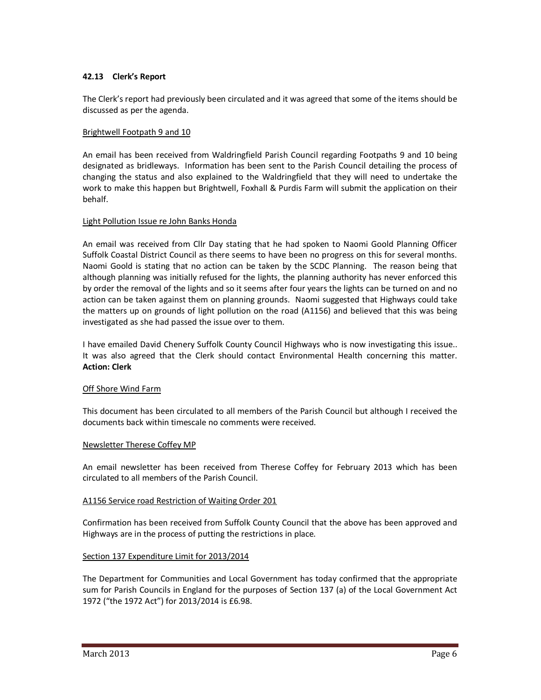### **42.13 Clerk's Report**

The Clerk's report had previously been circulated and it was agreed that some of the items should be discussed as per the agenda.

### Brightwell Footpath 9 and 10

An email has been received from Waldringfield Parish Council regarding Footpaths 9 and 10 being designated as bridleways. Information has been sent to the Parish Council detailing the process of changing the status and also explained to the Waldringfield that they will need to undertake the work to make this happen but Brightwell, Foxhall & Purdis Farm will submit the application on their behalf.

### Light Pollution Issue re John Banks Honda

An email was received from Cllr Day stating that he had spoken to Naomi Goold Planning Officer Suffolk Coastal District Council as there seems to have been no progress on this for several months. Naomi Goold is stating that no action can be taken by the SCDC Planning. The reason being that although planning was initially refused for the lights, the planning authority has never enforced this by order the removal of the lights and so it seems after four years the lights can be turned on and no action can be taken against them on planning grounds. Naomi suggested that Highways could take the matters up on grounds of light pollution on the road (A1156) and believed that this was being investigated as she had passed the issue over to them.

I have emailed David Chenery Suffolk County Council Highways who is now investigating this issue.. It was also agreed that the Clerk should contact Environmental Health concerning this matter. **Action: Clerk** 

### Off Shore Wind Farm

This document has been circulated to all members of the Parish Council but although I received the documents back within timescale no comments were received.

### Newsletter Therese Coffey MP

An email newsletter has been received from Therese Coffey for February 2013 which has been circulated to all members of the Parish Council.

### A1156 Service road Restriction of Waiting Order 201

Confirmation has been received from Suffolk County Council that the above has been approved and Highways are in the process of putting the restrictions in place.

### Section 137 Expenditure Limit for 2013/2014

The Department for Communities and Local Government has today confirmed that the appropriate sum for Parish Councils in England for the purposes of Section 137 (a) of the Local Government Act 1972 ("the 1972 Act") for 2013/2014 is £6.98.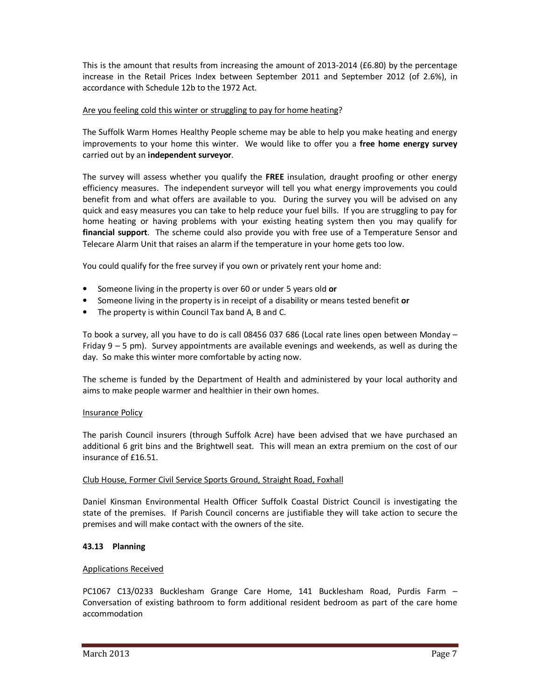This is the amount that results from increasing the amount of 2013-2014 (£6.80) by the percentage increase in the Retail Prices Index between September 2011 and September 2012 (of 2.6%), in accordance with Schedule 12b to the 1972 Act.

# Are you feeling cold this winter or struggling to pay for home heating?

The Suffolk Warm Homes Healthy People scheme may be able to help you make heating and energy improvements to your home this winter. We would like to offer you a **free home energy survey** carried out by an **independent surveyor**.

The survey will assess whether you qualify the **FREE** insulation, draught proofing or other energy efficiency measures. The independent surveyor will tell you what energy improvements you could benefit from and what offers are available to you. During the survey you will be advised on any quick and easy measures you can take to help reduce your fuel bills. If you are struggling to pay for home heating or having problems with your existing heating system then you may qualify for **financial support**. The scheme could also provide you with free use of a Temperature Sensor and Telecare Alarm Unit that raises an alarm if the temperature in your home gets too low.

You could qualify for the free survey if you own or privately rent your home and:

- Someone living in the property is over 60 or under 5 years old **or**
- Someone living in the property is in receipt of a disability or means tested benefit **or**
- The property is within Council Tax band A, B and C.

To book a survey, all you have to do is call 08456 037 686 (Local rate lines open between Monday – Friday 9 – 5 pm). Survey appointments are available evenings and weekends, as well as during the day. So make this winter more comfortable by acting now.

The scheme is funded by the Department of Health and administered by your local authority and aims to make people warmer and healthier in their own homes.

### Insurance Policy

The parish Council insurers (through Suffolk Acre) have been advised that we have purchased an additional 6 grit bins and the Brightwell seat. This will mean an extra premium on the cost of our insurance of £16.51.

### Club House, Former Civil Service Sports Ground, Straight Road, Foxhall

Daniel Kinsman Environmental Health Officer Suffolk Coastal District Council is investigating the state of the premises. If Parish Council concerns are justifiable they will take action to secure the premises and will make contact with the owners of the site.

### **43.13 Planning**

### Applications Received

PC1067 C13/0233 Bucklesham Grange Care Home, 141 Bucklesham Road, Purdis Farm – Conversation of existing bathroom to form additional resident bedroom as part of the care home accommodation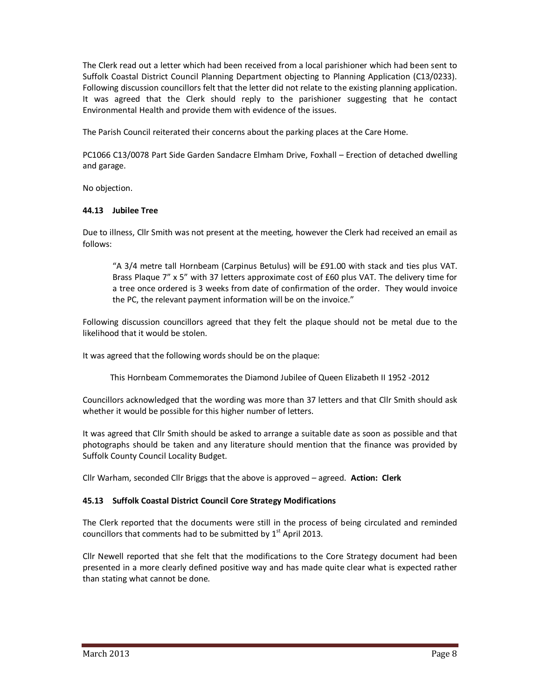The Clerk read out a letter which had been received from a local parishioner which had been sent to Suffolk Coastal District Council Planning Department objecting to Planning Application (C13/0233). Following discussion councillors felt that the letter did not relate to the existing planning application. It was agreed that the Clerk should reply to the parishioner suggesting that he contact Environmental Health and provide them with evidence of the issues.

The Parish Council reiterated their concerns about the parking places at the Care Home.

PC1066 C13/0078 Part Side Garden Sandacre Elmham Drive, Foxhall – Erection of detached dwelling and garage.

No objection.

### **44.13 Jubilee Tree**

Due to illness, Cllr Smith was not present at the meeting, however the Clerk had received an email as follows:

"A 3/4 metre tall Hornbeam (Carpinus Betulus) will be £91.00 with stack and ties plus VAT. Brass Plaque 7" x 5" with 37 letters approximate cost of £60 plus VAT. The delivery time for a tree once ordered is 3 weeks from date of confirmation of the order. They would invoice the PC, the relevant payment information will be on the invoice."

Following discussion councillors agreed that they felt the plaque should not be metal due to the likelihood that it would be stolen.

It was agreed that the following words should be on the plaque:

This Hornbeam Commemorates the Diamond Jubilee of Queen Elizabeth II 1952 -2012

Councillors acknowledged that the wording was more than 37 letters and that Cllr Smith should ask whether it would be possible for this higher number of letters.

It was agreed that Cllr Smith should be asked to arrange a suitable date as soon as possible and that photographs should be taken and any literature should mention that the finance was provided by Suffolk County Council Locality Budget.

Cllr Warham, seconded Cllr Briggs that the above is approved – agreed. **Action: Clerk** 

# **45.13 Suffolk Coastal District Council Core Strategy Modifications**

The Clerk reported that the documents were still in the process of being circulated and reminded councillors that comments had to be submitted by  $1<sup>st</sup>$  April 2013.

Cllr Newell reported that she felt that the modifications to the Core Strategy document had been presented in a more clearly defined positive way and has made quite clear what is expected rather than stating what cannot be done.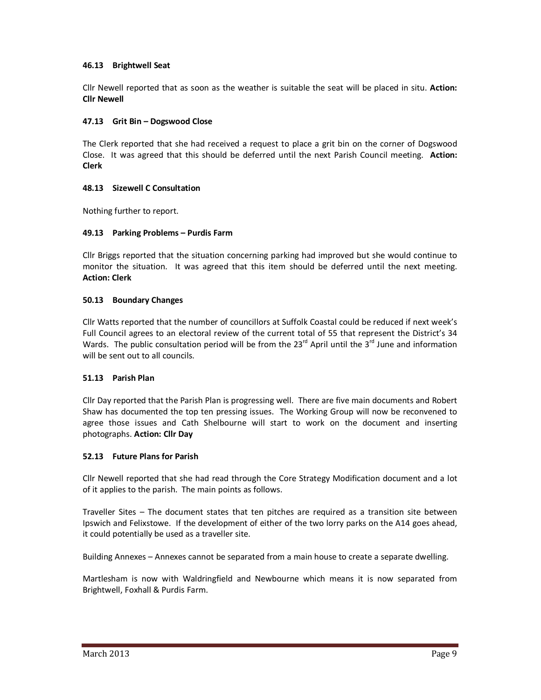## **46.13 Brightwell Seat**

Cllr Newell reported that as soon as the weather is suitable the seat will be placed in situ. **Action: Cllr Newell** 

## **47.13 Grit Bin – Dogswood Close**

The Clerk reported that she had received a request to place a grit bin on the corner of Dogswood Close. It was agreed that this should be deferred until the next Parish Council meeting. **Action: Clerk**

### **48.13 Sizewell C Consultation**

Nothing further to report.

### **49.13 Parking Problems – Purdis Farm**

Cllr Briggs reported that the situation concerning parking had improved but she would continue to monitor the situation. It was agreed that this item should be deferred until the next meeting. **Action: Clerk**

### **50.13 Boundary Changes**

Cllr Watts reported that the number of councillors at Suffolk Coastal could be reduced if next week's Full Council agrees to an electoral review of the current total of 55 that represent the District's 34 Wards. The public consultation period will be from the  $23<sup>rd</sup>$  April until the  $3<sup>rd</sup>$  June and information will be sent out to all councils.

# **51.13 Parish Plan**

Cllr Day reported that the Parish Plan is progressing well. There are five main documents and Robert Shaw has documented the top ten pressing issues. The Working Group will now be reconvened to agree those issues and Cath Shelbourne will start to work on the document and inserting photographs. **Action: Cllr Day** 

### **52.13 Future Plans for Parish**

Cllr Newell reported that she had read through the Core Strategy Modification document and a lot of it applies to the parish. The main points as follows.

Traveller Sites – The document states that ten pitches are required as a transition site between Ipswich and Felixstowe. If the development of either of the two lorry parks on the A14 goes ahead, it could potentially be used as a traveller site.

Building Annexes – Annexes cannot be separated from a main house to create a separate dwelling.

Martlesham is now with Waldringfield and Newbourne which means it is now separated from Brightwell, Foxhall & Purdis Farm.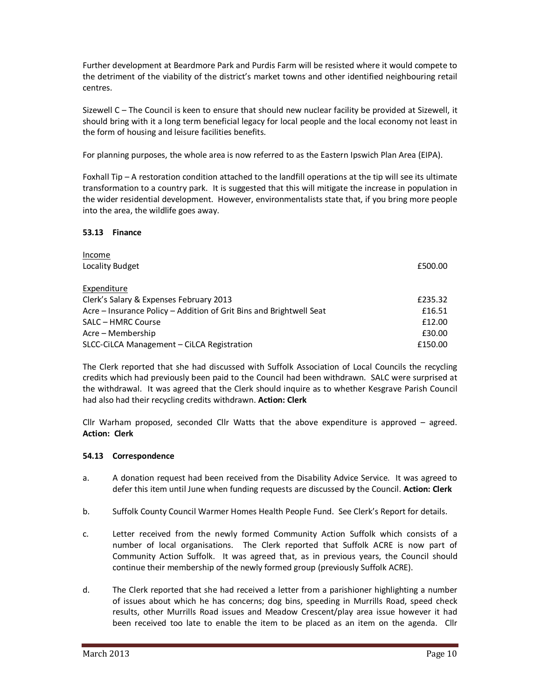Further development at Beardmore Park and Purdis Farm will be resisted where it would compete to the detriment of the viability of the district's market towns and other identified neighbouring retail centres.

Sizewell C – The Council is keen to ensure that should new nuclear facility be provided at Sizewell, it should bring with it a long term beneficial legacy for local people and the local economy not least in the form of housing and leisure facilities benefits.

For planning purposes, the whole area is now referred to as the Eastern Ipswich Plan Area (EIPA).

Foxhall Tip – A restoration condition attached to the landfill operations at the tip will see its ultimate transformation to a country park. It is suggested that this will mitigate the increase in population in the wider residential development. However, environmentalists state that, if you bring more people into the area, the wildlife goes away.

# **53.13 Finance**

| Income                                                              |         |
|---------------------------------------------------------------------|---------|
| Locality Budget                                                     | £500.00 |
| Expenditure                                                         |         |
| Clerk's Salary & Expenses February 2013                             | £235.32 |
| Acre – Insurance Policy – Addition of Grit Bins and Brightwell Seat | £16.51  |
| SALC - HMRC Course                                                  | £12.00  |
| Acre – Membership                                                   | £30.00  |
| SLCC-CiLCA Management - CiLCA Registration                          | £150.00 |

The Clerk reported that she had discussed with Suffolk Association of Local Councils the recycling credits which had previously been paid to the Council had been withdrawn. SALC were surprised at the withdrawal. It was agreed that the Clerk should inquire as to whether Kesgrave Parish Council had also had their recycling credits withdrawn. **Action: Clerk** 

Cllr Warham proposed, seconded Cllr Watts that the above expenditure is approved – agreed. **Action: Clerk** 

# **54.13 Correspondence**

- a. A donation request had been received from the Disability Advice Service. It was agreed to defer this item until June when funding requests are discussed by the Council. **Action: Clerk**
- b. Suffolk County Council Warmer Homes Health People Fund. See Clerk's Report for details.
- c. Letter received from the newly formed Community Action Suffolk which consists of a number of local organisations. The Clerk reported that Suffolk ACRE is now part of Community Action Suffolk. It was agreed that, as in previous years, the Council should continue their membership of the newly formed group (previously Suffolk ACRE).
- d. The Clerk reported that she had received a letter from a parishioner highlighting a number of issues about which he has concerns; dog bins, speeding in Murrills Road, speed check results, other Murrills Road issues and Meadow Crescent/play area issue however it had been received too late to enable the item to be placed as an item on the agenda. Cllr